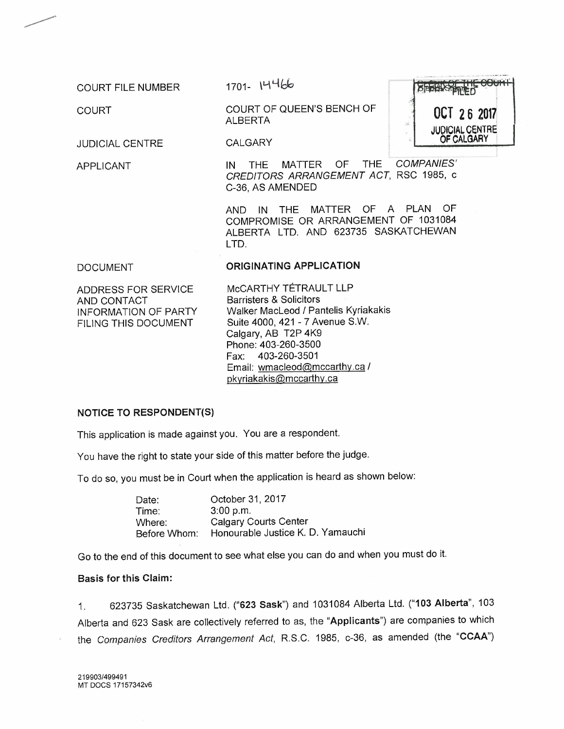COURT FILE NUMBER

COURT

*.>*

JUDICIAL CENTRE

APPLICANT

 $1701 - 14466$ 

CALGARY

COURT OF QUEEN'S BENCH OF ALBERTA **OCT <sup>26</sup> <sup>2017</sup>**

JUDICIAL CENTRE

IN THE MATTER OF THE *COMPANIES' CREDITORS ARRANGEMENT ACT,* RSC 1985, c C-36, AS AMENDED

AND IN THE MATTER OF A PLAN OF COMPROMISE OR ARRANGEMENT OF 1031084 ALBERTA LTD. AND 623735 SASKATCHEWAN LTD.

#### DOCUMENT

#### ORIGINATING APPLICATION

ADDRESS FOR SERVICE AND CONTACT INFORMATION OF PARTY FILING THIS DOCUMENT

McCARTHY TÉTRAULT LLP Barristers & Solicitors Walker MacLeod / Pantelis Kyriakakis Suite 4000, 421 - 7 Avenue S.W. Calgary, AB T2P 4K9 Phone: 403-260-3500 Fax: 403-260-3501 Email: [wmacleod@mccarthy.ca](mailto:wmacleod@mccarthy.ca) / [pkyriakakis@mccarthy.ca](mailto:pkyriakakis@mccarthy.ca)

#### NOTICE TO RESPONDENT(S)

This application is made against you. You are a respondent.

You have the right to state your side of this matter before the judge.

To do so, you must be in Court when the application is heard as shown below:

Date: Time: Where: Before Whom: October 31, 2017 3:00 p.m. Calgary Courts Center Honourable Justice K. D. Yamauchi

Go to the end of this document to see what else you can do and when you must do it.

#### Basis for this Claim:

1. 623735 Saskatchewan Ltd. ("623 Sask") and 1031084 Alberta Ltd. ("103 Alberta", 103 Alberta and 623 Sask are collectively referred to as, the "Applicants") are companies to which the *Companies Creditors Arrangement Act,* R.S.C. 1985, c-36, as amended (the "CCAA")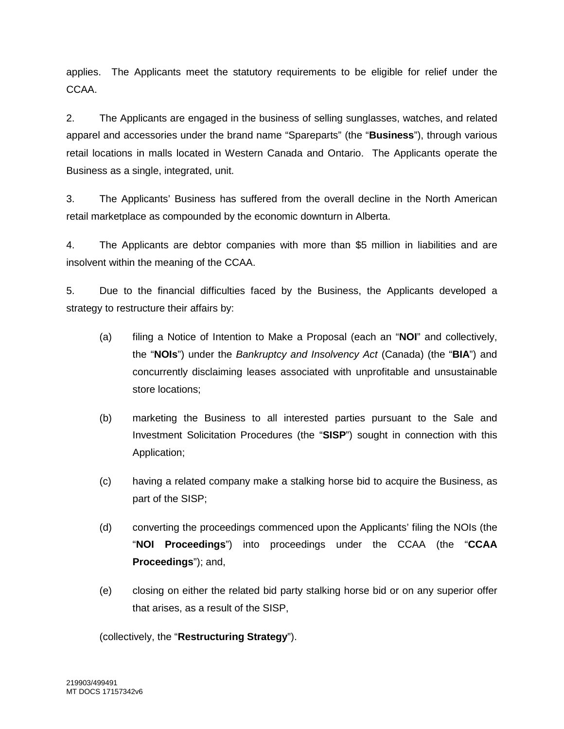applies. The Applicants meet the statutory requirements to be eligible for relief under the CCAA.

2. The Applicants are engaged in the business of selling sunglasses, watches, and related apparel and accessories under the brand name "Spareparts" (the "**Business**"), through various retail locations in malls located in Western Canada and Ontario. The Applicants operate the Business as a single, integrated, unit.

3. The Applicants' Business has suffered from the overall decline in the North American retail marketplace as compounded by the economic downturn in Alberta.

4. The Applicants are debtor companies with more than \$5 million in liabilities and are insolvent within the meaning of the CCAA.

5. Due to the financial difficulties faced by the Business, the Applicants developed a strategy to restructure their affairs by:

- (a) filing a Notice of Intention to Make a Proposal (each an "**NOI**" and collectively, the "**NOIs**") under the *Bankruptcy and Insolvency Act* (Canada) (the "**BIA**") and concurrently disclaiming leases associated with unprofitable and unsustainable store locations;
- (b) marketing the Business to all interested parties pursuant to the Sale and Investment Solicitation Procedures (the "**SISP**") sought in connection with this Application;
- (c) having a related company make a stalking horse bid to acquire the Business, as part of the SISP;
- (d) converting the proceedings commenced upon the Applicants' filing the NOIs (the "**NOI Proceedings**") into proceedings under the CCAA (the "**CCAA Proceedings**"); and,
- (e) closing on either the related bid party stalking horse bid or on any superior offer that arises, as a result of the SISP,

(collectively, the "**Restructuring Strategy**").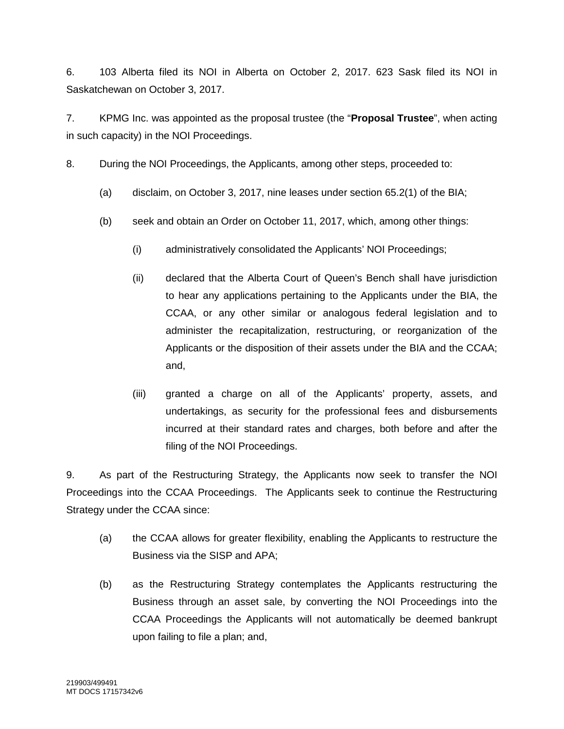6. 103 Alberta filed its NOI in Alberta on October 2, 2017. 623 Sask filed its NOI in Saskatchewan on October 3, 2017.

7. KPMG Inc. was appointed as the proposal trustee (the "**Proposal Trustee**", when acting in such capacity) in the NOI Proceedings.

8. During the NOI Proceedings, the Applicants, among other steps, proceeded to:

- (a) disclaim, on October 3, 2017, nine leases under section 65.2(1) of the BIA;
- (b) seek and obtain an Order on October 11, 2017, which, among other things:
	- (i) administratively consolidated the Applicants' NOI Proceedings;
	- (ii) declared that the Alberta Court of Queen's Bench shall have jurisdiction to hear any applications pertaining to the Applicants under the BIA, the CCAA, or any other similar or analogous federal legislation and to administer the recapitalization, restructuring, or reorganization of the Applicants or the disposition of their assets under the BIA and the CCAA; and,
	- (iii) granted a charge on all of the Applicants' property, assets, and undertakings, as security for the professional fees and disbursements incurred at their standard rates and charges, both before and after the filing of the NOI Proceedings.

9. As part of the Restructuring Strategy, the Applicants now seek to transfer the NOI Proceedings into the CCAA Proceedings. The Applicants seek to continue the Restructuring Strategy under the CCAA since:

- (a) the CCAA allows for greater flexibility, enabling the Applicants to restructure the Business via the SISP and APA;
- (b) as the Restructuring Strategy contemplates the Applicants restructuring the Business through an asset sale, by converting the NOI Proceedings into the CCAA Proceedings the Applicants will not automatically be deemed bankrupt upon failing to file a plan; and,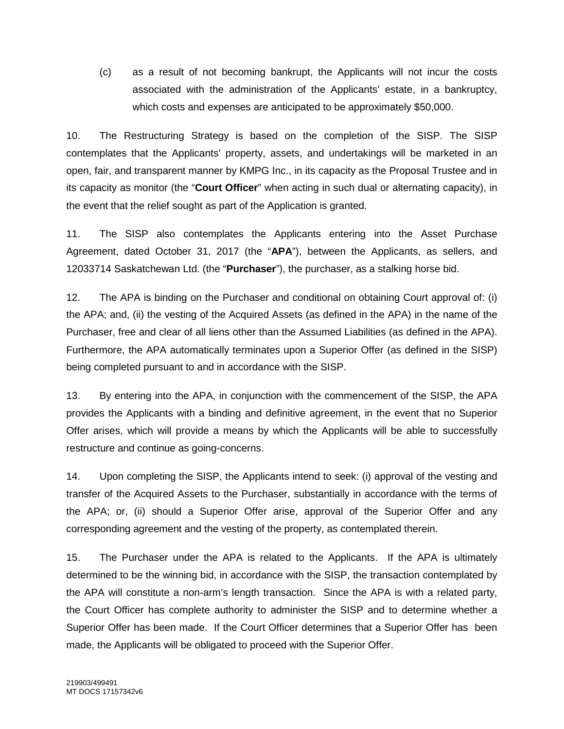(c) as a result of not becoming bankrupt, the Applicants will not incur the costs associated with the administration of the Applicants' estate, in a bankruptcy, which costs and expenses are anticipated to be approximately \$50,000.

10. The Restructuring Strategy is based on the completion of the SISP. The SISP contemplates that the Applicants' property, assets, and undertakings will be marketed in an open, fair, and transparent manner by KMPG Inc., in its capacity as the Proposal Trustee and in its capacity as monitor (the "**Court Officer**" when acting in such dual or alternating capacity), in the event that the relief sought as part of the Application is granted.

11. The SISP also contemplates the Applicants entering into the Asset Purchase Agreement, dated October 31, 2017 (the "**APA**"), between the Applicants, as sellers, and 12033714 Saskatchewan Ltd. (the "**Purchaser**"), the purchaser, as a stalking horse bid.

12. The APA is binding on the Purchaser and conditional on obtaining Court approval of: (i) the APA; and, (ii) the vesting of the Acquired Assets (as defined in the APA) in the name of the Purchaser, free and clear of all liens other than the Assumed Liabilities (as defined in the APA). Furthermore, the APA automatically terminates upon a Superior Offer (as defined in the SISP) being completed pursuant to and in accordance with the SISP.

13. By entering into the APA, in conjunction with the commencement of the SISP, the APA provides the Applicants with a binding and definitive agreement, in the event that no Superior Offer arises, which will provide a means by which the Applicants will be able to successfully restructure and continue as going-concerns.

14. Upon completing the SISP, the Applicants intend to seek: (i) approval of the vesting and transfer of the Acquired Assets to the Purchaser, substantially in accordance with the terms of the APA; or, (ii) should a Superior Offer arise, approval of the Superior Offer and any corresponding agreement and the vesting of the property, as contemplated therein.

15. The Purchaser under the APA is related to the Applicants. If the APA is ultimately determined to be the winning bid, in accordance with the SISP, the transaction contemplated by the APA will constitute a non-arm's length transaction. Since the APA is with a related party, the Court Officer has complete authority to administer the SISP and to determine whether a Superior Offer has been made. If the Court Officer determines that a Superior Offer has been made, the Applicants will be obligated to proceed with the Superior Offer.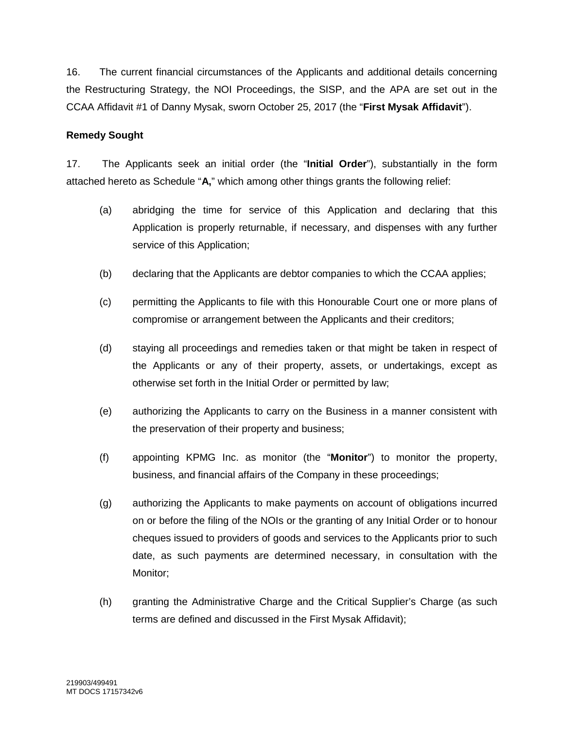16. The current financial circumstances of the Applicants and additional details concerning the Restructuring Strategy, the NOI Proceedings, the SISP, and the APA are set out in the CCAA Affidavit #1 of Danny Mysak, sworn October 25, 2017 (the "**First Mysak Affidavit**").

#### **Remedy Sought**

17. The Applicants seek an initial order (the "**Initial Order**"), substantially in the form attached hereto as Schedule "**A,**" which among other things grants the following relief:

- (a) abridging the time for service of this Application and declaring that this Application is properly returnable, if necessary, and dispenses with any further service of this Application;
- (b) declaring that the Applicants are debtor companies to which the CCAA applies;
- (c) permitting the Applicants to file with this Honourable Court one or more plans of compromise or arrangement between the Applicants and their creditors;
- (d) staying all proceedings and remedies taken or that might be taken in respect of the Applicants or any of their property, assets, or undertakings, except as otherwise set forth in the Initial Order or permitted by law;
- (e) authorizing the Applicants to carry on the Business in a manner consistent with the preservation of their property and business;
- (f) appointing KPMG Inc. as monitor (the "**Monitor**") to monitor the property, business, and financial affairs of the Company in these proceedings;
- (g) authorizing the Applicants to make payments on account of obligations incurred on or before the filing of the NOIs or the granting of any Initial Order or to honour cheques issued to providers of goods and services to the Applicants prior to such date, as such payments are determined necessary, in consultation with the Monitor;
- (h) granting the Administrative Charge and the Critical Supplier's Charge (as such terms are defined and discussed in the First Mysak Affidavit);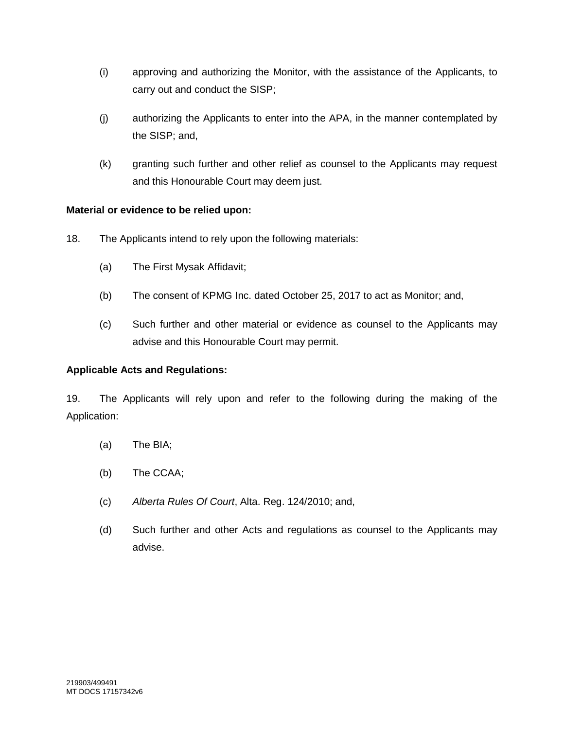- (i) approving and authorizing the Monitor, with the assistance of the Applicants, to carry out and conduct the SISP;
- (j) authorizing the Applicants to enter into the APA, in the manner contemplated by the SISP; and,
- (k) granting such further and other relief as counsel to the Applicants may request and this Honourable Court may deem just.

## **Material or evidence to be relied upon:**

- 18. The Applicants intend to rely upon the following materials:
	- (a) The First Mysak Affidavit;
	- (b) The consent of KPMG Inc. dated October 25, 2017 to act as Monitor; and,
	- (c) Such further and other material or evidence as counsel to the Applicants may advise and this Honourable Court may permit.

# **Applicable Acts and Regulations:**

19. The Applicants will rely upon and refer to the following during the making of the Application:

- (a) The BIA;
- (b) The CCAA;
- (c) *Alberta Rules Of Court*, Alta. Reg. 124/2010; and,
- (d) Such further and other Acts and regulations as counsel to the Applicants may advise.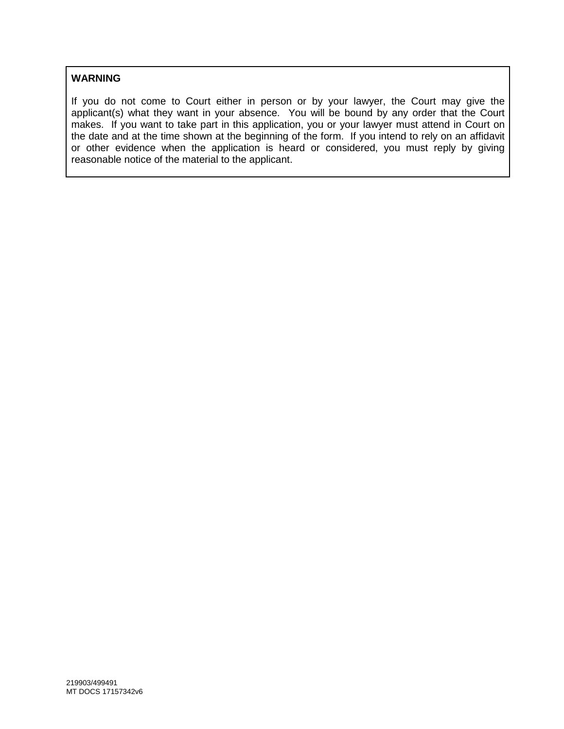## **WARNING**

If you do not come to Court either in person or by your lawyer, the Court may give the applicant(s) what they want in your absence. You will be bound by any order that the Court makes. If you want to take part in this application, you or your lawyer must attend in Court on the date and at the time shown at the beginning of the form. If you intend to rely on an affidavit or other evidence when the application is heard or considered, you must reply by giving reasonable notice of the material to the applicant.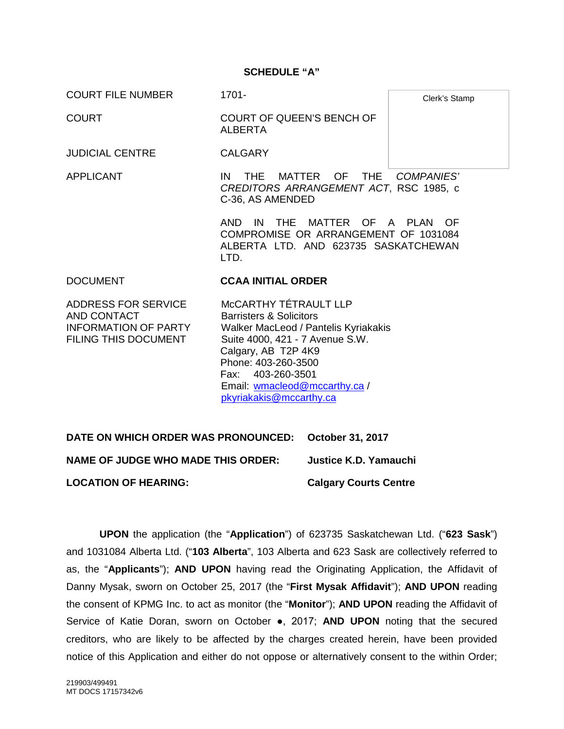#### **SCHEDULE "A"**

COURT FILE NUMBER 1701-

COURT COURT OF QUEEN'S BENCH OF ALBERTA

Clerk's Stamp

JUDICIAL CENTRE CALGARY

APPLICANT IN THE MATTER OF THE *COMPANIES' CREDITORS ARRANGEMENT ACT*, RSC 1985, c C-36, AS AMENDED

> AND IN THE MATTER OF A PLAN OF COMPROMISE OR ARRANGEMENT OF 1031084 ALBERTA LTD. AND 623735 SASKATCHEWAN LTD.

#### DOCUMENT **CCAA INITIAL ORDER**

ADDRESS FOR SERVICE AND CONTACT INFORMATION OF PARTY FILING THIS DOCUMENT

McCARTHY TÉTRAULT LLP Barristers & Solicitors Walker MacLeod / Pantelis Kyriakakis Suite 4000, 421 - 7 Avenue S.W. Calgary, AB T2P 4K9 Phone: 403-260-3500 Fax: 403-260-3501 Email: wmacleod@mccarthy.ca / pkyriakakis@mccarthy.ca

**DATE ON WHICH ORDER WAS PRONOUNCED: October 31, 2017 NAME OF JUDGE WHO MADE THIS ORDER: Justice K.D. Yamauchi LOCATION OF HEARING: Calgary Courts Centre**

**UPON** the application (the "**Application**") of 623735 Saskatchewan Ltd. ("**623 Sask**") and 1031084 Alberta Ltd. ("**103 Alberta**", 103 Alberta and 623 Sask are collectively referred to as, the "**Applicants**"); **AND UPON** having read the Originating Application, the Affidavit of Danny Mysak, sworn on October 25, 2017 (the "**First Mysak Affidavit**"); **AND UPON** reading the consent of KPMG Inc. to act as monitor (the "**Monitor**"); **AND UPON** reading the Affidavit of Service of Katie Doran, sworn on October ●, 2017; **AND UPON** noting that the secured creditors, who are likely to be affected by the charges created herein, have been provided notice of this Application and either do not oppose or alternatively consent to the within Order;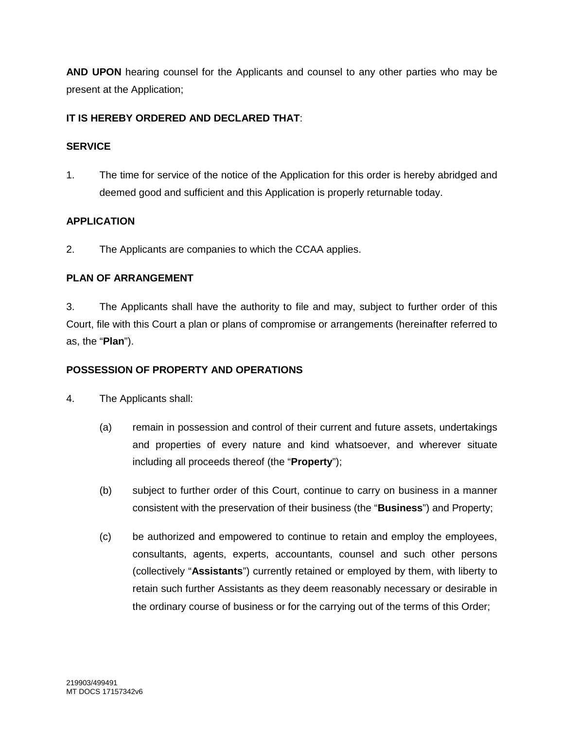**AND UPON** hearing counsel for the Applicants and counsel to any other parties who may be present at the Application;

# **IT IS HEREBY ORDERED AND DECLARED THAT**:

### **SERVICE**

1. The time for service of the notice of the Application for this order is hereby abridged and deemed good and sufficient and this Application is properly returnable today.

# **APPLICATION**

2. The Applicants are companies to which the CCAA applies.

# **PLAN OF ARRANGEMENT**

3. The Applicants shall have the authority to file and may, subject to further order of this Court, file with this Court a plan or plans of compromise or arrangements (hereinafter referred to as, the "**Plan**").

## **POSSESSION OF PROPERTY AND OPERATIONS**

- 4. The Applicants shall:
	- (a) remain in possession and control of their current and future assets, undertakings and properties of every nature and kind whatsoever, and wherever situate including all proceeds thereof (the "**Property**");
	- (b) subject to further order of this Court, continue to carry on business in a manner consistent with the preservation of their business (the "**Business**") and Property;
	- (c) be authorized and empowered to continue to retain and employ the employees, consultants, agents, experts, accountants, counsel and such other persons (collectively "**Assistants**") currently retained or employed by them, with liberty to retain such further Assistants as they deem reasonably necessary or desirable in the ordinary course of business or for the carrying out of the terms of this Order;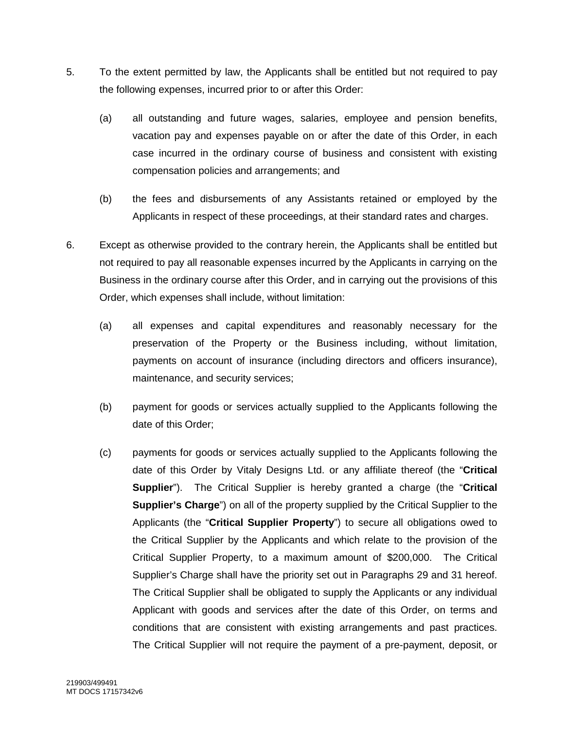- 5. To the extent permitted by law, the Applicants shall be entitled but not required to pay the following expenses, incurred prior to or after this Order:
	- (a) all outstanding and future wages, salaries, employee and pension benefits, vacation pay and expenses payable on or after the date of this Order, in each case incurred in the ordinary course of business and consistent with existing compensation policies and arrangements; and
	- (b) the fees and disbursements of any Assistants retained or employed by the Applicants in respect of these proceedings, at their standard rates and charges.
- 6. Except as otherwise provided to the contrary herein, the Applicants shall be entitled but not required to pay all reasonable expenses incurred by the Applicants in carrying on the Business in the ordinary course after this Order, and in carrying out the provisions of this Order, which expenses shall include, without limitation:
	- (a) all expenses and capital expenditures and reasonably necessary for the preservation of the Property or the Business including, without limitation, payments on account of insurance (including directors and officers insurance), maintenance, and security services;
	- (b) payment for goods or services actually supplied to the Applicants following the date of this Order;
	- (c) payments for goods or services actually supplied to the Applicants following the date of this Order by Vitaly Designs Ltd. or any affiliate thereof (the "**Critical Supplier**"). The Critical Supplier is hereby granted a charge (the "**Critical Supplier's Charge**") on all of the property supplied by the Critical Supplier to the Applicants (the "**Critical Supplier Property**") to secure all obligations owed to the Critical Supplier by the Applicants and which relate to the provision of the Critical Supplier Property, to a maximum amount of \$200,000. The Critical Supplier's Charge shall have the priority set out in Paragraphs 29 and 31 hereof. The Critical Supplier shall be obligated to supply the Applicants or any individual Applicant with goods and services after the date of this Order, on terms and conditions that are consistent with existing arrangements and past practices. The Critical Supplier will not require the payment of a pre-payment, deposit, or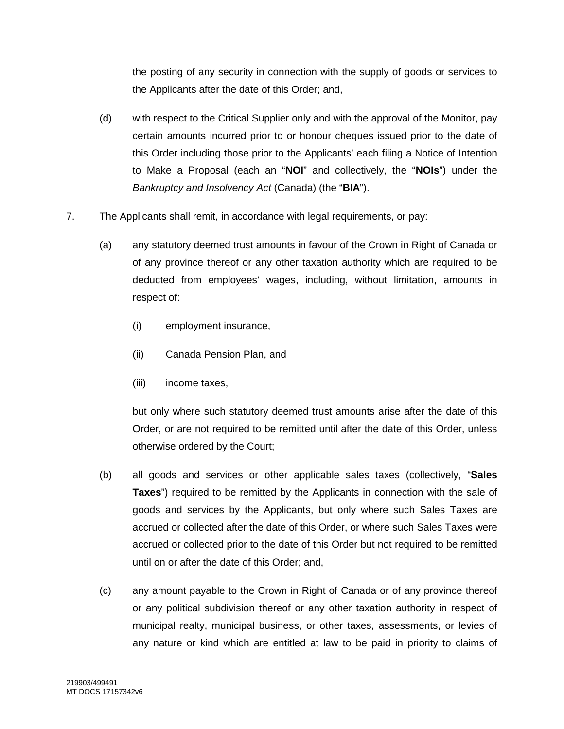the posting of any security in connection with the supply of goods or services to the Applicants after the date of this Order; and,

- (d) with respect to the Critical Supplier only and with the approval of the Monitor, pay certain amounts incurred prior to or honour cheques issued prior to the date of this Order including those prior to the Applicants' each filing a Notice of Intention to Make a Proposal (each an "**NOI**" and collectively, the "**NOIs**") under the *Bankruptcy and Insolvency Act* (Canada) (the "**BIA**").
- 7. The Applicants shall remit, in accordance with legal requirements, or pay:
	- (a) any statutory deemed trust amounts in favour of the Crown in Right of Canada or of any province thereof or any other taxation authority which are required to be deducted from employees' wages, including, without limitation, amounts in respect of:
		- (i) employment insurance,
		- (ii) Canada Pension Plan, and
		- (iii) income taxes,

but only where such statutory deemed trust amounts arise after the date of this Order, or are not required to be remitted until after the date of this Order, unless otherwise ordered by the Court;

- (b) all goods and services or other applicable sales taxes (collectively, "**Sales Taxes**") required to be remitted by the Applicants in connection with the sale of goods and services by the Applicants, but only where such Sales Taxes are accrued or collected after the date of this Order, or where such Sales Taxes were accrued or collected prior to the date of this Order but not required to be remitted until on or after the date of this Order; and,
- (c) any amount payable to the Crown in Right of Canada or of any province thereof or any political subdivision thereof or any other taxation authority in respect of municipal realty, municipal business, or other taxes, assessments, or levies of any nature or kind which are entitled at law to be paid in priority to claims of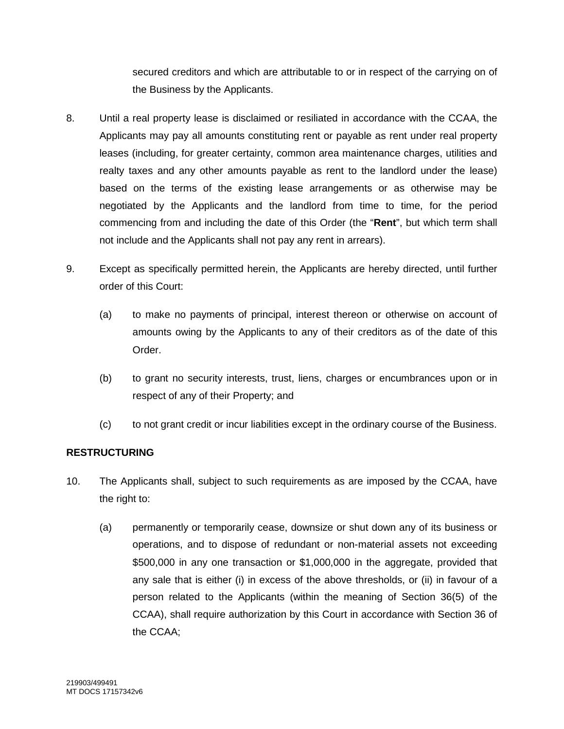secured creditors and which are attributable to or in respect of the carrying on of the Business by the Applicants.

- 8. Until a real property lease is disclaimed or resiliated in accordance with the CCAA, the Applicants may pay all amounts constituting rent or payable as rent under real property leases (including, for greater certainty, common area maintenance charges, utilities and realty taxes and any other amounts payable as rent to the landlord under the lease) based on the terms of the existing lease arrangements or as otherwise may be negotiated by the Applicants and the landlord from time to time, for the period commencing from and including the date of this Order (the "**Rent**", but which term shall not include and the Applicants shall not pay any rent in arrears).
- 9. Except as specifically permitted herein, the Applicants are hereby directed, until further order of this Court:
	- (a) to make no payments of principal, interest thereon or otherwise on account of amounts owing by the Applicants to any of their creditors as of the date of this Order.
	- (b) to grant no security interests, trust, liens, charges or encumbrances upon or in respect of any of their Property; and
	- (c) to not grant credit or incur liabilities except in the ordinary course of the Business.

## **RESTRUCTURING**

- 10. The Applicants shall, subject to such requirements as are imposed by the CCAA, have the right to:
	- (a) permanently or temporarily cease, downsize or shut down any of its business or operations, and to dispose of redundant or non-material assets not exceeding \$500,000 in any one transaction or \$1,000,000 in the aggregate, provided that any sale that is either (i) in excess of the above thresholds, or (ii) in favour of a person related to the Applicants (within the meaning of Section 36(5) of the CCAA), shall require authorization by this Court in accordance with Section 36 of the CCAA;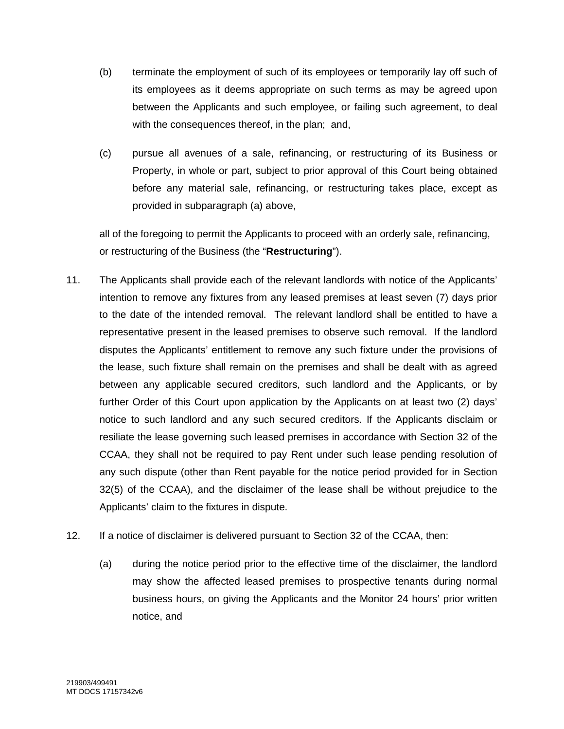- (b) terminate the employment of such of its employees or temporarily lay off such of its employees as it deems appropriate on such terms as may be agreed upon between the Applicants and such employee, or failing such agreement, to deal with the consequences thereof, in the plan; and,
- (c) pursue all avenues of a sale, refinancing, or restructuring of its Business or Property, in whole or part, subject to prior approval of this Court being obtained before any material sale, refinancing, or restructuring takes place, except as provided in subparagraph (a) above,

all of the foregoing to permit the Applicants to proceed with an orderly sale, refinancing, or restructuring of the Business (the "**Restructuring**").

- 11. The Applicants shall provide each of the relevant landlords with notice of the Applicants' intention to remove any fixtures from any leased premises at least seven (7) days prior to the date of the intended removal. The relevant landlord shall be entitled to have a representative present in the leased premises to observe such removal. If the landlord disputes the Applicants' entitlement to remove any such fixture under the provisions of the lease, such fixture shall remain on the premises and shall be dealt with as agreed between any applicable secured creditors, such landlord and the Applicants, or by further Order of this Court upon application by the Applicants on at least two (2) days' notice to such landlord and any such secured creditors. If the Applicants disclaim or resiliate the lease governing such leased premises in accordance with Section 32 of the CCAA, they shall not be required to pay Rent under such lease pending resolution of any such dispute (other than Rent payable for the notice period provided for in Section 32(5) of the CCAA), and the disclaimer of the lease shall be without prejudice to the Applicants' claim to the fixtures in dispute.
- 12. If a notice of disclaimer is delivered pursuant to Section 32 of the CCAA, then:
	- (a) during the notice period prior to the effective time of the disclaimer, the landlord may show the affected leased premises to prospective tenants during normal business hours, on giving the Applicants and the Monitor 24 hours' prior written notice, and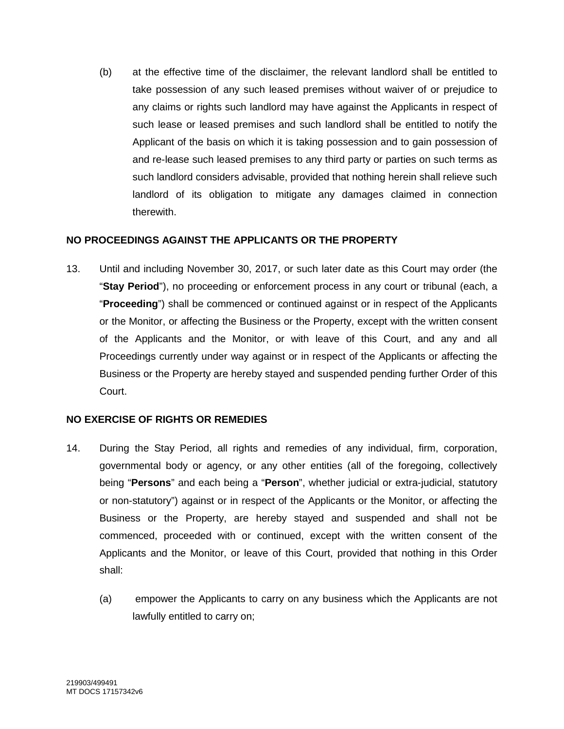(b) at the effective time of the disclaimer, the relevant landlord shall be entitled to take possession of any such leased premises without waiver of or prejudice to any claims or rights such landlord may have against the Applicants in respect of such lease or leased premises and such landlord shall be entitled to notify the Applicant of the basis on which it is taking possession and to gain possession of and re-lease such leased premises to any third party or parties on such terms as such landlord considers advisable, provided that nothing herein shall relieve such landlord of its obligation to mitigate any damages claimed in connection therewith.

### **NO PROCEEDINGS AGAINST THE APPLICANTS OR THE PROPERTY**

13. Until and including November 30, 2017, or such later date as this Court may order (the "**Stay Period**"), no proceeding or enforcement process in any court or tribunal (each, a "**Proceeding**") shall be commenced or continued against or in respect of the Applicants or the Monitor, or affecting the Business or the Property, except with the written consent of the Applicants and the Monitor, or with leave of this Court, and any and all Proceedings currently under way against or in respect of the Applicants or affecting the Business or the Property are hereby stayed and suspended pending further Order of this Court.

## **NO EXERCISE OF RIGHTS OR REMEDIES**

- 14. During the Stay Period, all rights and remedies of any individual, firm, corporation, governmental body or agency, or any other entities (all of the foregoing, collectively being "**Persons**" and each being a "**Person**", whether judicial or extra-judicial, statutory or non-statutory") against or in respect of the Applicants or the Monitor, or affecting the Business or the Property, are hereby stayed and suspended and shall not be commenced, proceeded with or continued, except with the written consent of the Applicants and the Monitor, or leave of this Court, provided that nothing in this Order shall:
	- (a) empower the Applicants to carry on any business which the Applicants are not lawfully entitled to carry on;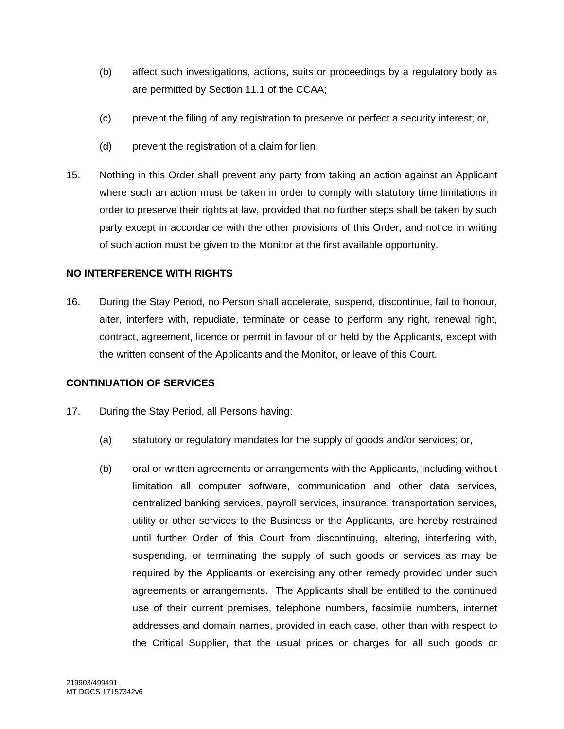- (b) affect such investigations, actions, suits or proceedings by a regulatory body as are permitted by Section 11.1 of the CCAA;
- (c) prevent the filing of any registration to preserve or perfect a security interest; or,
- (d) prevent the registration of a claim for lien.
- 15. Nothing in this Order shall prevent any party from taking an action against an Applicant where such an action must be taken in order to comply with statutory time limitations in order to preserve their rights at law, provided that no further steps shall be taken by such party except in accordance with the other provisions of this Order, and notice in writing of such action must be given to the Monitor at the first available opportunity.

### **NO INTERFERENCE WITH RIGHTS**

16. During the Stay Period, no Person shall accelerate, suspend, discontinue, fail to honour, alter, interfere with, repudiate, terminate or cease to perform any right, renewal right, contract, agreement, licence or permit in favour of or held by the Applicants, except with the written consent of the Applicants and the Monitor, or leave of this Court.

#### **CONTINUATION OF SERVICES**

- 17. During the Stay Period, all Persons having:
	- (a) statutory or regulatory mandates for the supply of goods and/or services; or,
	- (b) oral or written agreements or arrangements with the Applicants, including without limitation all computer software, communication and other data services, centralized banking services, payroll services, insurance, transportation services, utility or other services to the Business or the Applicants, are hereby restrained until further Order of this Court from discontinuing, altering, interfering with, suspending, or terminating the supply of such goods or services as may be required by the Applicants or exercising any other remedy provided under such agreements or arrangements. The Applicants shall be entitled to the continued use of their current premises, telephone numbers, facsimile numbers, internet addresses and domain names, provided in each case, other than with respect to the Critical Supplier, that the usual prices or charges for all such goods or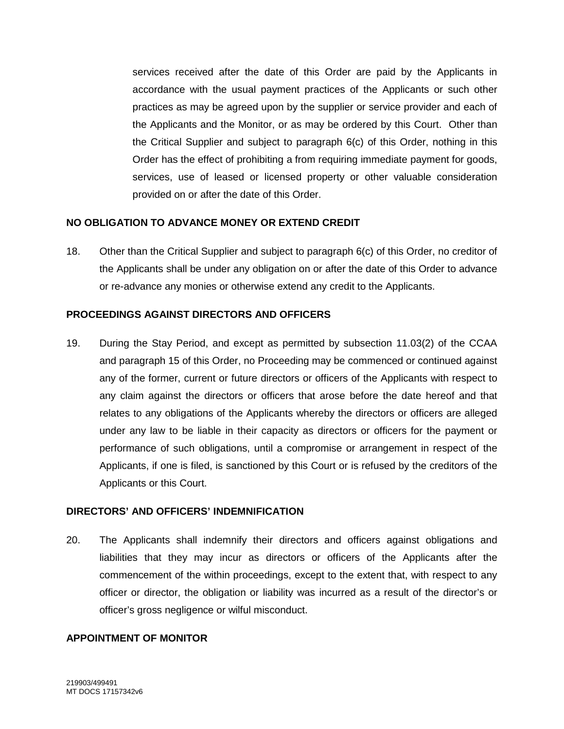services received after the date of this Order are paid by the Applicants in accordance with the usual payment practices of the Applicants or such other practices as may be agreed upon by the supplier or service provider and each of the Applicants and the Monitor, or as may be ordered by this Court. Other than the Critical Supplier and subject to paragraph 6(c) of this Order, nothing in this Order has the effect of prohibiting a from requiring immediate payment for goods, services, use of leased or licensed property or other valuable consideration provided on or after the date of this Order.

#### **NO OBLIGATION TO ADVANCE MONEY OR EXTEND CREDIT**

18. Other than the Critical Supplier and subject to paragraph 6(c) of this Order, no creditor of the Applicants shall be under any obligation on or after the date of this Order to advance or re-advance any monies or otherwise extend any credit to the Applicants.

#### **PROCEEDINGS AGAINST DIRECTORS AND OFFICERS**

19. During the Stay Period, and except as permitted by subsection 11.03(2) of the CCAA and paragraph 15 of this Order, no Proceeding may be commenced or continued against any of the former, current or future directors or officers of the Applicants with respect to any claim against the directors or officers that arose before the date hereof and that relates to any obligations of the Applicants whereby the directors or officers are alleged under any law to be liable in their capacity as directors or officers for the payment or performance of such obligations, until a compromise or arrangement in respect of the Applicants, if one is filed, is sanctioned by this Court or is refused by the creditors of the Applicants or this Court.

#### **DIRECTORS' AND OFFICERS' INDEMNIFICATION**

20. The Applicants shall indemnify their directors and officers against obligations and liabilities that they may incur as directors or officers of the Applicants after the commencement of the within proceedings, except to the extent that, with respect to any officer or director, the obligation or liability was incurred as a result of the director's or officer's gross negligence or wilful misconduct.

#### **APPOINTMENT OF MONITOR**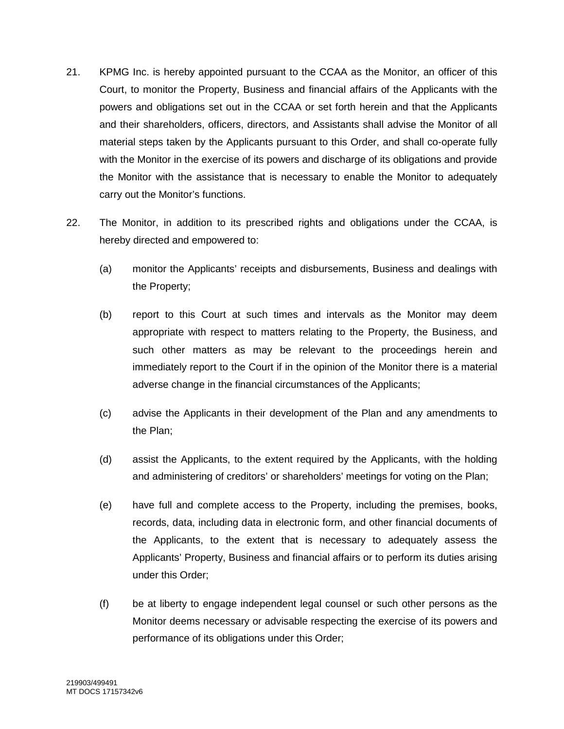- 21. KPMG Inc. is hereby appointed pursuant to the CCAA as the Monitor, an officer of this Court, to monitor the Property, Business and financial affairs of the Applicants with the powers and obligations set out in the CCAA or set forth herein and that the Applicants and their shareholders, officers, directors, and Assistants shall advise the Monitor of all material steps taken by the Applicants pursuant to this Order, and shall co-operate fully with the Monitor in the exercise of its powers and discharge of its obligations and provide the Monitor with the assistance that is necessary to enable the Monitor to adequately carry out the Monitor's functions.
- 22. The Monitor, in addition to its prescribed rights and obligations under the CCAA, is hereby directed and empowered to:
	- (a) monitor the Applicants' receipts and disbursements, Business and dealings with the Property;
	- (b) report to this Court at such times and intervals as the Monitor may deem appropriate with respect to matters relating to the Property, the Business, and such other matters as may be relevant to the proceedings herein and immediately report to the Court if in the opinion of the Monitor there is a material adverse change in the financial circumstances of the Applicants;
	- (c) advise the Applicants in their development of the Plan and any amendments to the Plan;
	- (d) assist the Applicants, to the extent required by the Applicants, with the holding and administering of creditors' or shareholders' meetings for voting on the Plan;
	- (e) have full and complete access to the Property, including the premises, books, records, data, including data in electronic form, and other financial documents of the Applicants, to the extent that is necessary to adequately assess the Applicants' Property, Business and financial affairs or to perform its duties arising under this Order;
	- (f) be at liberty to engage independent legal counsel or such other persons as the Monitor deems necessary or advisable respecting the exercise of its powers and performance of its obligations under this Order;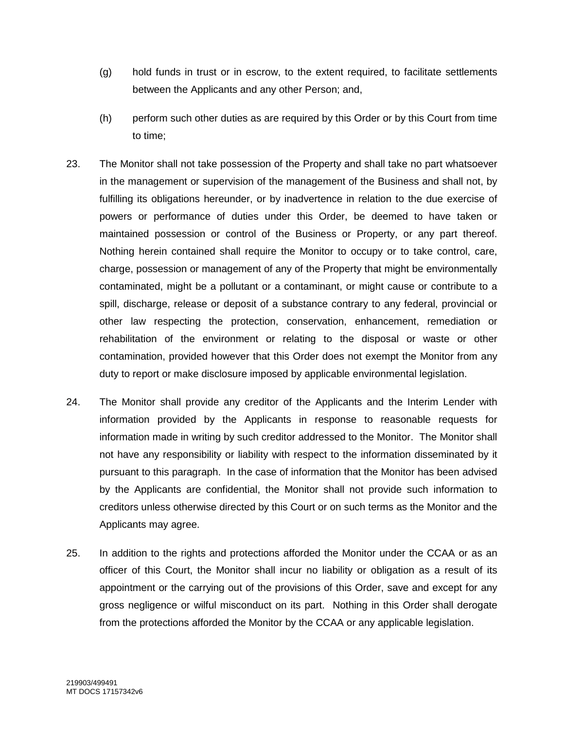- (g) hold funds in trust or in escrow, to the extent required, to facilitate settlements between the Applicants and any other Person; and,
- (h) perform such other duties as are required by this Order or by this Court from time to time;
- 23. The Monitor shall not take possession of the Property and shall take no part whatsoever in the management or supervision of the management of the Business and shall not, by fulfilling its obligations hereunder, or by inadvertence in relation to the due exercise of powers or performance of duties under this Order, be deemed to have taken or maintained possession or control of the Business or Property, or any part thereof. Nothing herein contained shall require the Monitor to occupy or to take control, care, charge, possession or management of any of the Property that might be environmentally contaminated, might be a pollutant or a contaminant, or might cause or contribute to a spill, discharge, release or deposit of a substance contrary to any federal, provincial or other law respecting the protection, conservation, enhancement, remediation or rehabilitation of the environment or relating to the disposal or waste or other contamination, provided however that this Order does not exempt the Monitor from any duty to report or make disclosure imposed by applicable environmental legislation.
- 24. The Monitor shall provide any creditor of the Applicants and the Interim Lender with information provided by the Applicants in response to reasonable requests for information made in writing by such creditor addressed to the Monitor. The Monitor shall not have any responsibility or liability with respect to the information disseminated by it pursuant to this paragraph. In the case of information that the Monitor has been advised by the Applicants are confidential, the Monitor shall not provide such information to creditors unless otherwise directed by this Court or on such terms as the Monitor and the Applicants may agree.
- 25. In addition to the rights and protections afforded the Monitor under the CCAA or as an officer of this Court, the Monitor shall incur no liability or obligation as a result of its appointment or the carrying out of the provisions of this Order, save and except for any gross negligence or wilful misconduct on its part. Nothing in this Order shall derogate from the protections afforded the Monitor by the CCAA or any applicable legislation.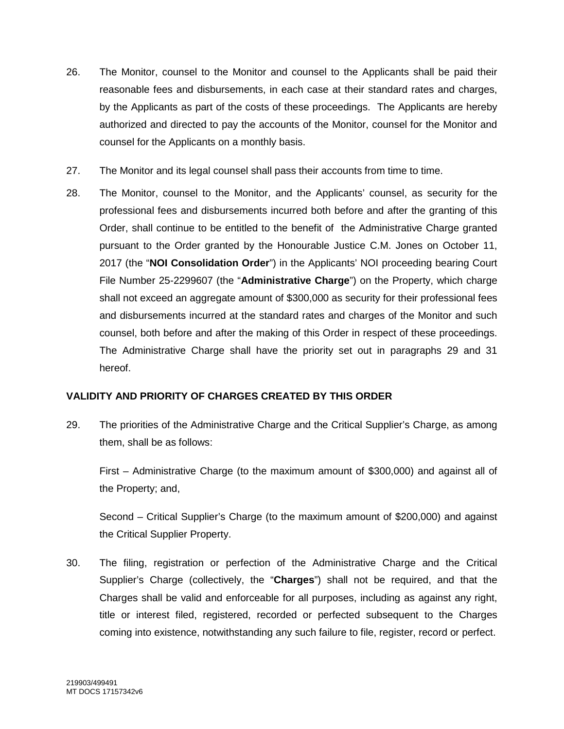- 26. The Monitor, counsel to the Monitor and counsel to the Applicants shall be paid their reasonable fees and disbursements, in each case at their standard rates and charges, by the Applicants as part of the costs of these proceedings. The Applicants are hereby authorized and directed to pay the accounts of the Monitor, counsel for the Monitor and counsel for the Applicants on a monthly basis.
- 27. The Monitor and its legal counsel shall pass their accounts from time to time.
- 28. The Monitor, counsel to the Monitor, and the Applicants' counsel, as security for the professional fees and disbursements incurred both before and after the granting of this Order, shall continue to be entitled to the benefit of the Administrative Charge granted pursuant to the Order granted by the Honourable Justice C.M. Jones on October 11, 2017 (the "**NOI Consolidation Order**") in the Applicants' NOI proceeding bearing Court File Number 25-2299607 (the "**Administrative Charge**") on the Property, which charge shall not exceed an aggregate amount of \$300,000 as security for their professional fees and disbursements incurred at the standard rates and charges of the Monitor and such counsel, both before and after the making of this Order in respect of these proceedings. The Administrative Charge shall have the priority set out in paragraphs 29 and 31 hereof.

## **VALIDITY AND PRIORITY OF CHARGES CREATED BY THIS ORDER**

29. The priorities of the Administrative Charge and the Critical Supplier's Charge, as among them, shall be as follows:

First – Administrative Charge (to the maximum amount of \$300,000) and against all of the Property; and,

Second – Critical Supplier's Charge (to the maximum amount of \$200,000) and against the Critical Supplier Property.

30. The filing, registration or perfection of the Administrative Charge and the Critical Supplier's Charge (collectively, the "**Charges**") shall not be required, and that the Charges shall be valid and enforceable for all purposes, including as against any right, title or interest filed, registered, recorded or perfected subsequent to the Charges coming into existence, notwithstanding any such failure to file, register, record or perfect.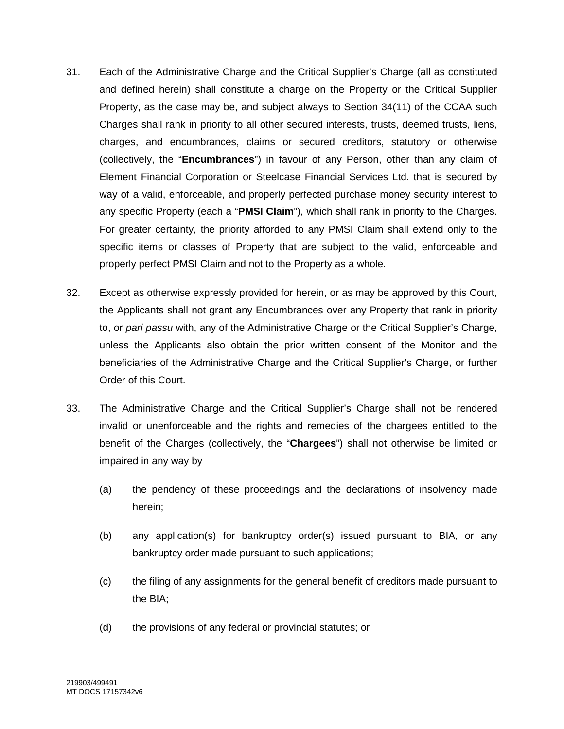- 31. Each of the Administrative Charge and the Critical Supplier's Charge (all as constituted and defined herein) shall constitute a charge on the Property or the Critical Supplier Property, as the case may be, and subject always to Section 34(11) of the CCAA such Charges shall rank in priority to all other secured interests, trusts, deemed trusts, liens, charges, and encumbrances, claims or secured creditors, statutory or otherwise (collectively, the "**Encumbrances**") in favour of any Person, other than any claim of Element Financial Corporation or Steelcase Financial Services Ltd. that is secured by way of a valid, enforceable, and properly perfected purchase money security interest to any specific Property (each a "**PMSI Claim**"), which shall rank in priority to the Charges. For greater certainty, the priority afforded to any PMSI Claim shall extend only to the specific items or classes of Property that are subject to the valid, enforceable and properly perfect PMSI Claim and not to the Property as a whole.
- 32. Except as otherwise expressly provided for herein, or as may be approved by this Court, the Applicants shall not grant any Encumbrances over any Property that rank in priority to, or *pari passu* with, any of the Administrative Charge or the Critical Supplier's Charge, unless the Applicants also obtain the prior written consent of the Monitor and the beneficiaries of the Administrative Charge and the Critical Supplier's Charge, or further Order of this Court.
- 33. The Administrative Charge and the Critical Supplier's Charge shall not be rendered invalid or unenforceable and the rights and remedies of the chargees entitled to the benefit of the Charges (collectively, the "**Chargees**") shall not otherwise be limited or impaired in any way by
	- (a) the pendency of these proceedings and the declarations of insolvency made herein;
	- (b) any application(s) for bankruptcy order(s) issued pursuant to BIA, or any bankruptcy order made pursuant to such applications;
	- (c) the filing of any assignments for the general benefit of creditors made pursuant to the BIA;
	- (d) the provisions of any federal or provincial statutes; or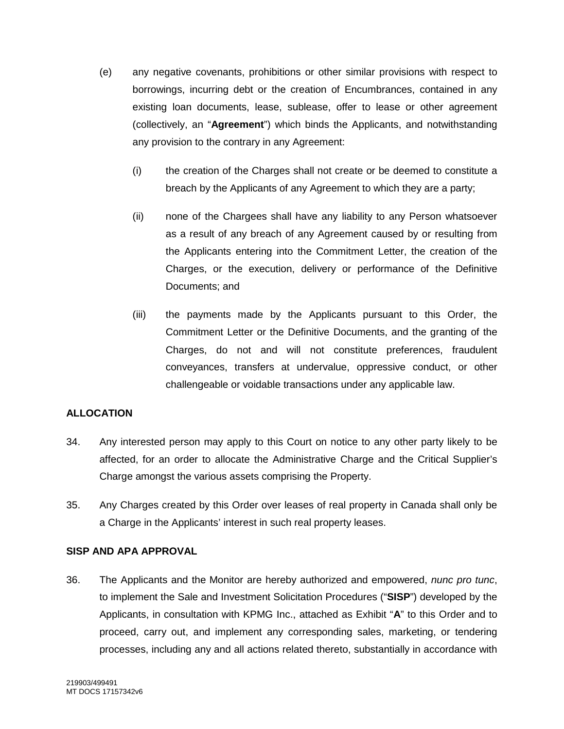- (e) any negative covenants, prohibitions or other similar provisions with respect to borrowings, incurring debt or the creation of Encumbrances, contained in any existing loan documents, lease, sublease, offer to lease or other agreement (collectively, an "**Agreement**") which binds the Applicants, and notwithstanding any provision to the contrary in any Agreement:
	- (i) the creation of the Charges shall not create or be deemed to constitute a breach by the Applicants of any Agreement to which they are a party;
	- (ii) none of the Chargees shall have any liability to any Person whatsoever as a result of any breach of any Agreement caused by or resulting from the Applicants entering into the Commitment Letter, the creation of the Charges, or the execution, delivery or performance of the Definitive Documents; and
	- (iii) the payments made by the Applicants pursuant to this Order, the Commitment Letter or the Definitive Documents, and the granting of the Charges, do not and will not constitute preferences, fraudulent conveyances, transfers at undervalue, oppressive conduct, or other challengeable or voidable transactions under any applicable law.

## **ALLOCATION**

- 34. Any interested person may apply to this Court on notice to any other party likely to be affected, for an order to allocate the Administrative Charge and the Critical Supplier's Charge amongst the various assets comprising the Property.
- 35. Any Charges created by this Order over leases of real property in Canada shall only be a Charge in the Applicants' interest in such real property leases.

#### **SISP AND APA APPROVAL**

36. The Applicants and the Monitor are hereby authorized and empowered, *nunc pro tunc*, to implement the Sale and Investment Solicitation Procedures ("**SISP**") developed by the Applicants, in consultation with KPMG Inc., attached as Exhibit "**A**" to this Order and to proceed, carry out, and implement any corresponding sales, marketing, or tendering processes, including any and all actions related thereto, substantially in accordance with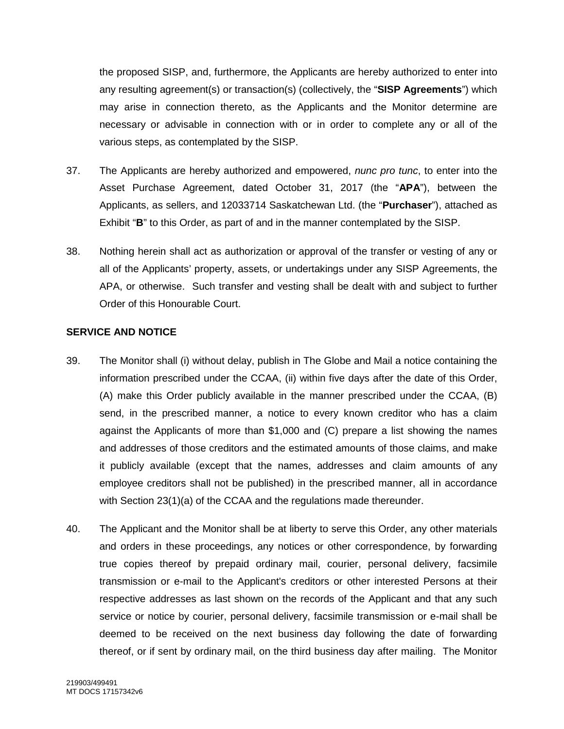the proposed SISP, and, furthermore, the Applicants are hereby authorized to enter into any resulting agreement(s) or transaction(s) (collectively, the "**SISP Agreements**") which may arise in connection thereto, as the Applicants and the Monitor determine are necessary or advisable in connection with or in order to complete any or all of the various steps, as contemplated by the SISP.

- 37. The Applicants are hereby authorized and empowered, *nunc pro tunc*, to enter into the Asset Purchase Agreement, dated October 31, 2017 (the "**APA**"), between the Applicants, as sellers, and 12033714 Saskatchewan Ltd. (the "**Purchaser**"), attached as Exhibit "**B**" to this Order, as part of and in the manner contemplated by the SISP.
- 38. Nothing herein shall act as authorization or approval of the transfer or vesting of any or all of the Applicants' property, assets, or undertakings under any SISP Agreements, the APA, or otherwise. Such transfer and vesting shall be dealt with and subject to further Order of this Honourable Court.

### **SERVICE AND NOTICE**

- 39. The Monitor shall (i) without delay, publish in The Globe and Mail a notice containing the information prescribed under the CCAA, (ii) within five days after the date of this Order, (A) make this Order publicly available in the manner prescribed under the CCAA, (B) send, in the prescribed manner, a notice to every known creditor who has a claim against the Applicants of more than \$1,000 and (C) prepare a list showing the names and addresses of those creditors and the estimated amounts of those claims, and make it publicly available (except that the names, addresses and claim amounts of any employee creditors shall not be published) in the prescribed manner, all in accordance with Section 23(1)(a) of the CCAA and the regulations made thereunder.
- 40. The Applicant and the Monitor shall be at liberty to serve this Order, any other materials and orders in these proceedings, any notices or other correspondence, by forwarding true copies thereof by prepaid ordinary mail, courier, personal delivery, facsimile transmission or e-mail to the Applicant's creditors or other interested Persons at their respective addresses as last shown on the records of the Applicant and that any such service or notice by courier, personal delivery, facsimile transmission or e-mail shall be deemed to be received on the next business day following the date of forwarding thereof, or if sent by ordinary mail, on the third business day after mailing. The Monitor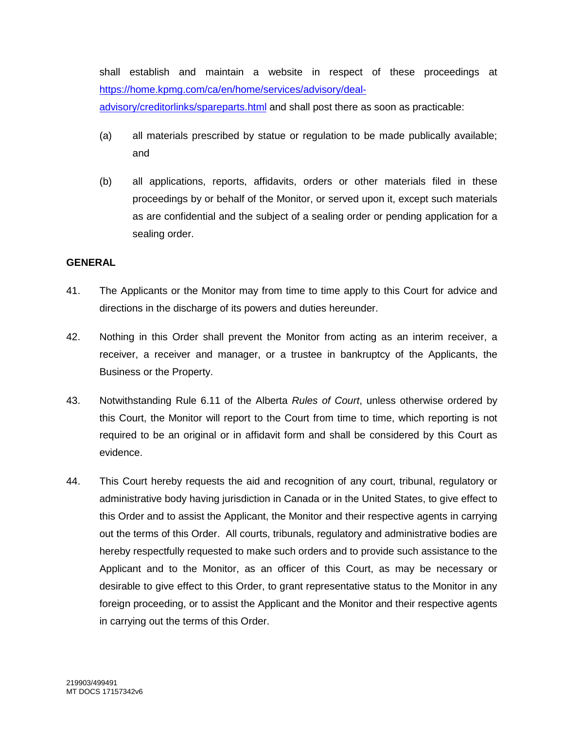shall establish and maintain a website in respect of these proceedings at https://home.kpmg.com/ca/en/home/services/advisory/dealadvisory/creditorlinks/spareparts.html and shall post there as soon as practicable:

- (a) all materials prescribed by statue or regulation to be made publically available; and
- (b) all applications, reports, affidavits, orders or other materials filed in these proceedings by or behalf of the Monitor, or served upon it, except such materials as are confidential and the subject of a sealing order or pending application for a sealing order.

#### **GENERAL**

- 41. The Applicants or the Monitor may from time to time apply to this Court for advice and directions in the discharge of its powers and duties hereunder.
- 42. Nothing in this Order shall prevent the Monitor from acting as an interim receiver, a receiver, a receiver and manager, or a trustee in bankruptcy of the Applicants, the Business or the Property.
- 43. Notwithstanding Rule 6.11 of the Alberta *Rules of Court*, unless otherwise ordered by this Court, the Monitor will report to the Court from time to time, which reporting is not required to be an original or in affidavit form and shall be considered by this Court as evidence.
- 44. This Court hereby requests the aid and recognition of any court, tribunal, regulatory or administrative body having jurisdiction in Canada or in the United States, to give effect to this Order and to assist the Applicant, the Monitor and their respective agents in carrying out the terms of this Order. All courts, tribunals, regulatory and administrative bodies are hereby respectfully requested to make such orders and to provide such assistance to the Applicant and to the Monitor, as an officer of this Court, as may be necessary or desirable to give effect to this Order, to grant representative status to the Monitor in any foreign proceeding, or to assist the Applicant and the Monitor and their respective agents in carrying out the terms of this Order.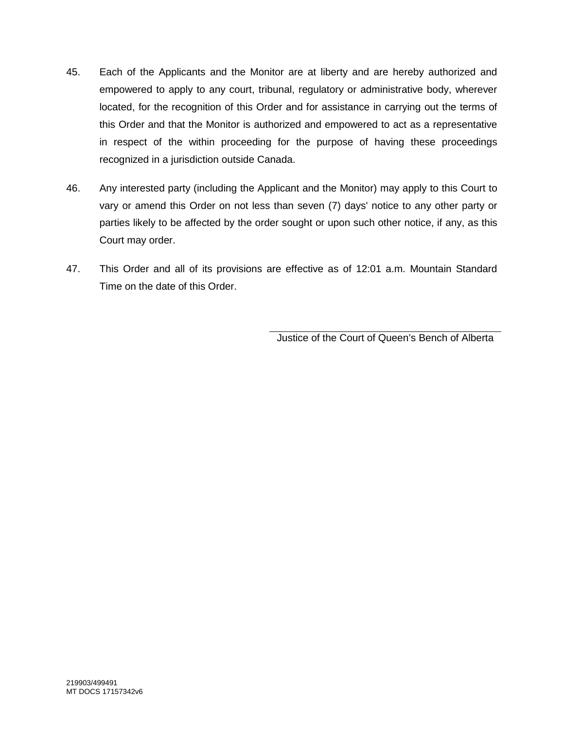- 45. Each of the Applicants and the Monitor are at liberty and are hereby authorized and empowered to apply to any court, tribunal, regulatory or administrative body, wherever located, for the recognition of this Order and for assistance in carrying out the terms of this Order and that the Monitor is authorized and empowered to act as a representative in respect of the within proceeding for the purpose of having these proceedings recognized in a jurisdiction outside Canada.
- 46. Any interested party (including the Applicant and the Monitor) may apply to this Court to vary or amend this Order on not less than seven (7) days' notice to any other party or parties likely to be affected by the order sought or upon such other notice, if any, as this Court may order.
- 47. This Order and all of its provisions are effective as of 12:01 a.m. Mountain Standard Time on the date of this Order.

Justice of the Court of Queen's Bench of Alberta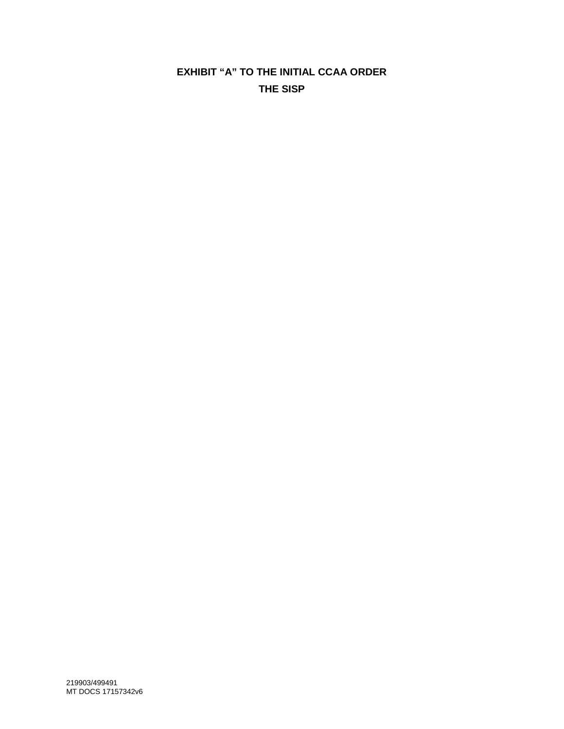# **EXHIBIT "A" TO THE INITIAL CCAA ORDER THE SISP**